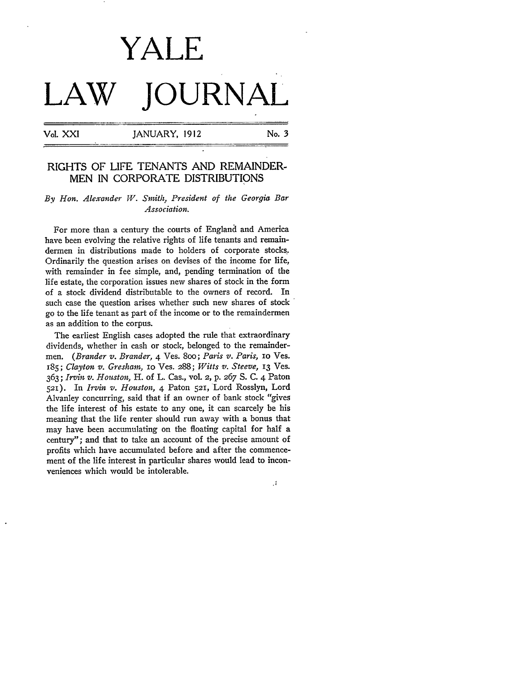## YALE LAW

Vol. XXI JANUARY, 1912 No. 3

 $\bar{A}$ 

## RIGHTS OF **LIFE TENANTS AND** REMAINDER-**MEN IN** CORPORATE **DISTRIBUTIONS**

*By Hon. Alexander W. Smith, President of the Georgia Bar Association.*

For more than a century the courts of England and America have been evolving the relative rights of life tenants and remaindermen in distributions made to holders of corporate stocks. Ordinarily the question arises on devises of the income for life, with remainder in fee simple, and, pending termination of the life estate, the corporation issues new shares of stock in the form of a stock dividend distributable to the owners of record. In such case the question arises whether such new shares of stock go to the life tenant as part of the income or to the remaindermen as an addition to the corpus.

The earliest English cases adopted the rule that extraordinary dividends, whether in cash or stock, belonged to the remaindermen. *(Brander v. Brander,* 4 Ves. 8oo; *Paris v. Paris,* IO Ves. *185; Clayton v. Gresham,* IO Ves. 288; *Witts v. Steeve,* 13 Ves. 363; *Irvin v. Houston,* H. of L. Cas., vol. 2, p. *267 S.* C. 4 Paton **521).** In *Irvin v. Houston,* 4 Paton **521,** Lord Rosslyn, Lord Alvanley concurring, said that if an owner of bank stock "gives the life interest of his estate to any one, it can scarcely be his meaning that the life renter should run away with a bonus that may have been accumulating on the floating capital for half a century"; and that to take an account of the precise amount of profits which have accumulated before and after the commencement of the life interest in particular shares would lead to inconveniences which would be intolerable.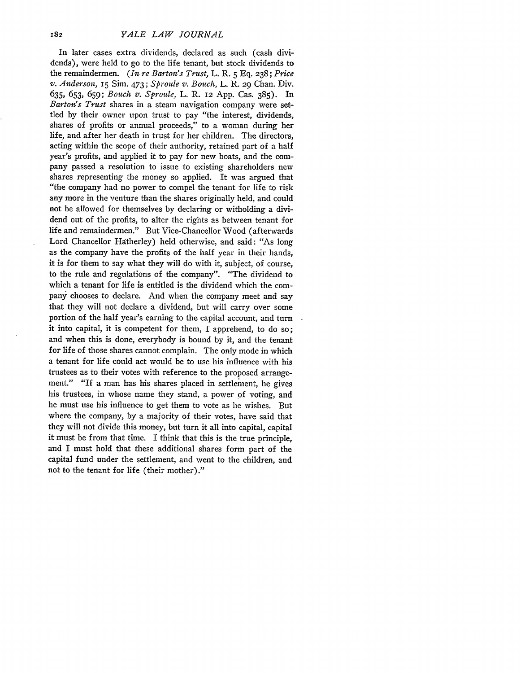In later cases extra dividends, declared as such (cash dividends), were held to go to the life tenant, but stock dividends to the remaindermen. *(It* re Barton's *Trust,* L. R. 5 **Eq.** 238; *Price v. Anderson,* **15** Sim. 473; *Sproule* v. Bouch, L. R. 29 Chan. Div. 635, 653, 659; *Bouch v. Sproule,* L. R. 12 App. Cas. 385). In *Barton's Trust* shares in a steam navigation company were settled by their owner upon trust to pay "the interest, dividends, shares of profits or annual proceeds," to a woman during her life, and after her death in trust for her children. The directors, acting within the scope of their authority, retained part of a half year's profits, and applied it to pay for new boats, and the company passed a resolution to issue to existing shareholders new shares representing the money so applied. It was argued that "the company had no power to compel the tenant for life to risk any more in the venture than the shares originally held, and could not be allowed for themselves **by** declaring or witholding a dividend out of the profits, to alter the rights as between tenant for life and remaindermen." But Vice-Chancellor Wood (afterwards Lord Chancellor Hatherley) held otherwise, and said: "As long as the company have the profits of the half year in their hands, it is for them to say what they will do with it, subject, of course, to the rule and regulations of the company". "The dividend to which a tenant for life is entitled is the dividend which the company chooses to declare. And when the company meet and say that they will not declare a dividend, but will carry over some portion of the half year's earning to the capital account, and turn it into capital, it is competent for them, **I** apprehend, to do so; and when this is done, everybody is bound by it, and the tenant for life of those shares cannot complain. The only mode in which a tenant for life could act would be to use his influence with his trustees as to their votes with reference to the proposed arrangement." "If a man has his shares placed in settlement, he gives his trustees, in whose name they stand, a power of voting, and he must use his influence to get them to vote as he wishes. But where the company, by a majority of their votes, have said that they will not divide this money, but turn it all into capital, capital it must be from that time. I think that this is the true principle, and I must hold that these additional shares form part of the capital fund under the settlement, and went to the children, and not to the tenant for life (their mother)."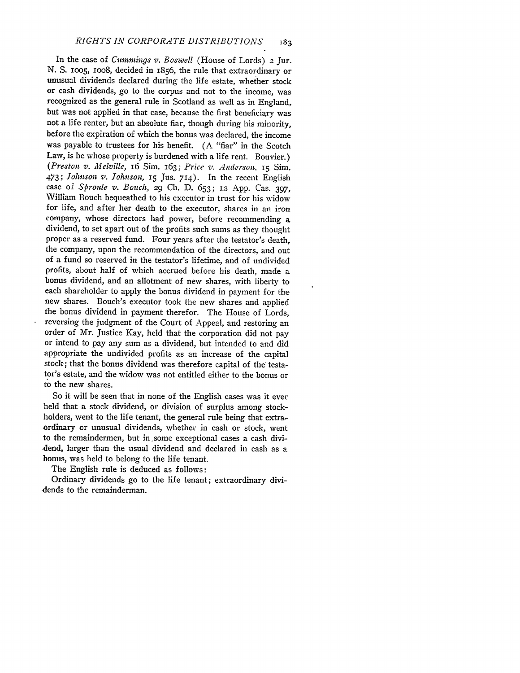In the case of *Cummings v. Boswell* (House of Lords) 2 Jur. N. S. **Ioo5,** iooS, decided in 1856, the rule that extraordinary or unusual dividends declared during the life estate, whether stock or cash dividends, go to the corpus and not to the income, was recognized as the general rule in Scotland as well as in England, but was not applied in that case, because the first beneficiary was not a life renter, but an absolute fiar, though during his minority, before the expiration of which the bonus was declared, the income was payable to trustees for his benefit. (A "fiar" in the Scotch Law, is he whose property is burdened with a life rent. Bouvier.) *(Preston v. Melville,* i6 Sim. 163; *Price v. Anderson.* 15 Sim. 473; *Johnson v. Johnson, 15* Jus. 714). In the recent English case of *Sproule v. Bouch,* 29 Ch. D. 653; **12** App. Cas. 397, William Bouch bequeathed to his executor in trust for his widow for life, and after her death to the executor, shares in an iron company, whose directors had power, before recommending a dividend, to set apart out of the profits such sums as they thought proper as a reserved fund. Four years after the testator's death, the company, upon the recommendation of the directors, and out of a fund so reserved in the testator's lifetime, and of undivided profits, about half of which accrued before his death, made a bonus dividend, and an allotment of new shares, with liberty to each shareholder to apply the bonus dividend in payment for the new shares. Bouch's executor took the new shares and applied the bonus dividend in payment therefor. The House of Lords, reversing the judgment of the Court of Appeal, and restoring an order of Mr. Justice Kay, held that the corporation did not pay or intend to pay any sum as a dividend, but intended to and did appropriate the undivided profits as an increase of the capital stock; that the bonus dividend was therefore capital of the testator's estate, and the widow was not entitled either to the bonus or to the new shares.

So it will be seen that in none of the English cases was it ever held that a stock dividend, or division of surplus among stockholders, went to the life tenant, the general rule being that extraordinary or unusual dividends, whether in cash or stock, went to the remaindermen, but in some exceptional cases a cash divi- -dend, larger than the usual dividend and declared in cash as a bonus, was held to belong to the life tenant.

The English rule is deduced as follows:

Ordinary dividends go to the life tenant; extraordinary dividends to the remainderman.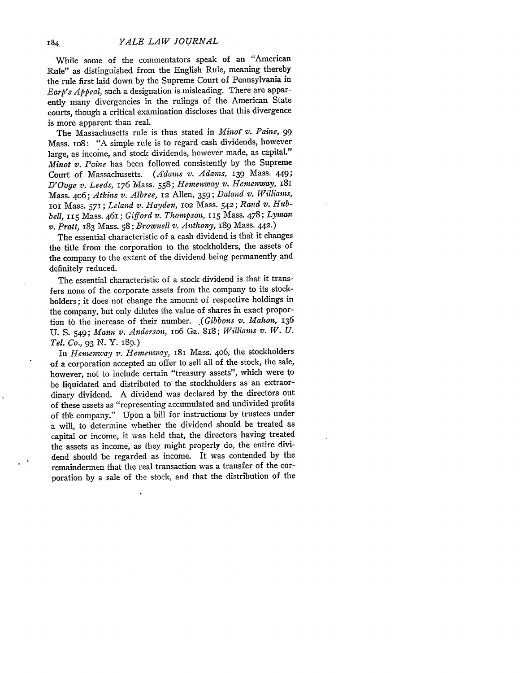While some of the commentators speak of an "American Rule" as distinguished from the English Rule, meaning thereby the rule first laid down by the Supreme Court of Pennsylvania in *Earp's Appeal,* such a designation is misleading. There are apparently many divergencies in the rulings of the American State courts, though a critical examination discloses that this divergence is more apparent than real.

The Massachusetts rule is thus stated in *Minot v. Paine*, 99 Mass. io8: "A simple rule is to regard cash dividends, however large, as income, and stock dividends, however made, as capital." *Minot v. Paine* has been followed consistently by the Supreme Court of Massachusetts. *(Adams v. Adams,* **139** Mass. 449; *D'O'oge v. Leeds,* **176** Mass. *558; Hemenway v. Hemenway, 181* Mass. 406; *Atkins v. Albree, i2* Allen, 359; *Daland v. Williams,* ioi Mass. 571; *Leland v. Hayden,* 102 Mass. 542; *Rand v. Hubbell, ii <sup>5</sup>*Mass. 461; *Gifford v. Thompson,* **Ii <sup>5</sup>**Mass. 478; *Lyman v. Pratt,* 183 Mass. 58; *Brownell v. Anthony,* 189 Mass. 442.)

The essential characteristic of a cash dividend is that it changes the title from the corporation to the stockholders, the assets of the company to the extent of the dividend being permanently and definitely reduced.

The essential characteristic of a stock dividend is that it transfers none of the corporate assets from the company to its stockholders; it does not change the amount of respective holdings in the company, but only dilutes the value of shares in exact proportion to the increase of their number. *(Gibbons v. Mahon, 136* **U. S.** 549; *Mann v. Anderson,* io6 Ga. 88; *Williams v. W. U. Tel. Co.,* 93 N. Y. 189.)

In *Hentenway v. Hemenway,* i8i Mass. 406, the stockholders of a corporation accepted an offer to sell all of the stock, the sale, however, not to include certain "treasury assets", which were to be liquidated and distributed to the stockholders as an extraordinary dividend. A dividend was declared by the directors out of these assets as "representing accumulated and undivided profits of the company." Upon a bill for instructions by trustees under a will, to determine whether the dividend should be treated as capital or income, it was held that, the directors having treated the assets as income, as they might properly do, the entire dividend should be regarded as income. It was contended by the remaindermen that the real transaction was a transfer of the corporation by a sale of the stock, and that the distribution of the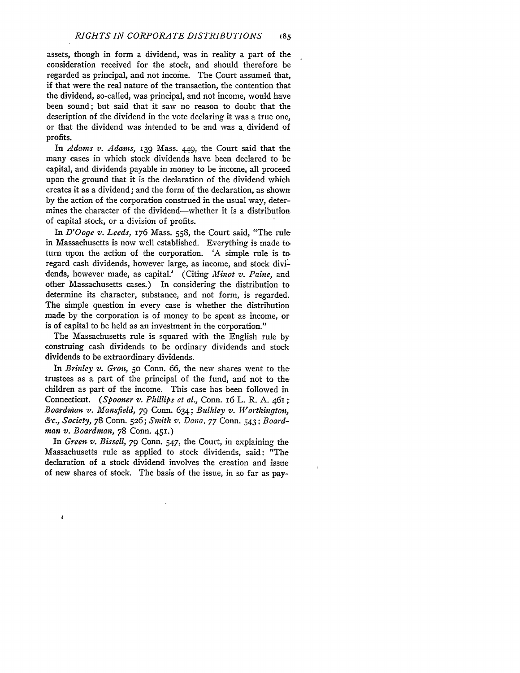assets, though in form a dividend, was in reality a part of the consideration received for the stock, and should therefore be regarded as principal, and not income. The Court assumed that, if that were the real nature of the transaction, the contention that the dividend, so-called, was principal, and not income, would have been sound; but said that it saw no reason to doubt that the description of the dividend in the vote declaring it was a true one, or that the dividend was intended to be and was a, dividend of profits.

In *Adams v. Adams,* **139** Mass. 449, the Court said that the many cases in which stock dividends have been declared to be capital, and dividends payable in money to be income, all proceed upon the ground that it is the declaration of the dividend which creates it as a dividend; and the form of the declaration, as shown by the action of the corporation construed in the usual way, determines the character of the dividend—whether it is a distribution of capital stock, or a division of profits.

In *D'Ooge v. Leeds,* 176 Mass. 558, the Court said, "The rule in Massachusetts is now well established. Everything is made toturn upon the action of the corporation. 'A simple rule is to regard cash dividends, however large, as income, and stock dividends, however made, as capital.' (Citing *M1inot v. Paine,* and other Massachusetts cases.) In considering the distribution to determine its character, substance, and not form, is regarded. The simple question in every case is whether the distribution made by the corporation is of money to be spent as income, or is of capital to be held as an investment in the corporation."

The Massachusetts rule is squared with the English rule by construing cash dividends to be ordinary dividends and stock dividends to be extraordinary dividends.

In *Brinley v. Grou,* **50** Conn. 66, the new shares went to the trustees as a part of the principal of the fund, and not to the children as part of the income. This case has been followed in Connecticut. *(Spooner v. Phillips et al.,* Conn. 16 L. R. A. 461 **;** *Boardiftan v. Mansfield,* 79 Conn. 634; *Bulkley v. Worthington, &c., Society,* 78 Conn. 526; *Smith v. Dana. 77* Conn. 543; *Boardman v. Boardman,* 78 Conn. 451.)

In *Green v. Bissell, 79* Conn. 547, the Court, in explaining the Massachusetts rule as applied to stock dividends, said: "The declaration of a stock dividend involves the creation and issue of new shares of stock. The basis of the issue, in so far as pay-

 $\mathbf{d}$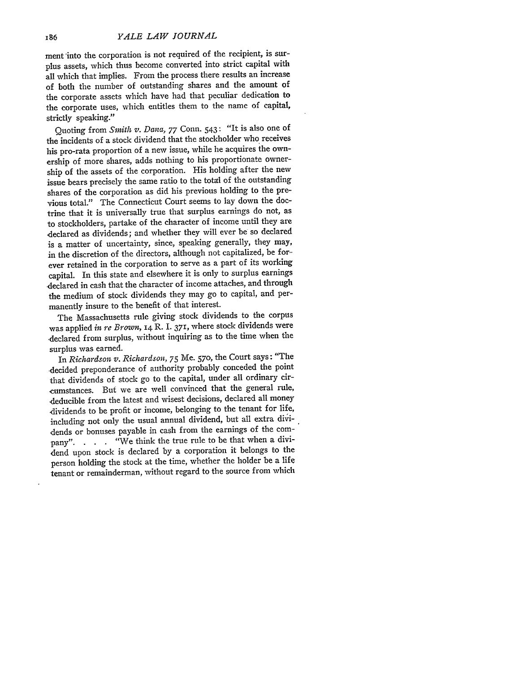ment'into the corporation is not required of the recipient, is surplus assets, which thus become converted into strict capital with all which that implies. From the process there results an increase of both the number of outstanding shares and the amount of the corporate assets which have had that peculiar dedication to the corporate uses, which entitles them to the name of capital, strictly speaking."

Quoting from *Smith v. Dana, 77* Conn. 543: "It is also one of the incidents of a stock dividend that the stockholder who receives his pro-rata proportion of a new issue, while he acquires the ownership of more shares, adds nothing to his proportionate ownership of the assets of the corporation. His holding after the new issue bears precisely the same ratio to the total of the outstanding shares of the corporation as did his previous holding to the previous total." The Connecticut Court seems to lay down the doctrine that it is universally true that surplus earnings do not, as to stockholders, partake of the character of income until they are declared as dividends; and whether they will ever be so declared is a matter of uncertainty, since, speaking generally, they may, in the discretion of the directors, although not capitalized, be for- ever retained in the corporation to serve as a part of its working capital. In this state and elsewhere it is only to surplus earnings -declared in cash that the character of income attaches, and through the medium of stock dividends they may go to capital, and permanently insure to the benefit of that interest.

The Massachusetts rule giving stock dividends to the corpus was applied *in re Brown,* **14** R. I. 371, where stock dividends were -declared from surplus, without inquiring as to the time when the surplus was earned.

In *Richardson v. Richardson, 75* Me. **570,** the Court says: "The decided preponderance of authority probably conceded the point that dividends of stock go to the capital, under all ordinary cir- -cumstances. But we are well convinced that the general rule, -deducible from the latest and wisest decisions, declared all money dividends to be profit or income, belonging to the tenant for life, including not only the usual annual dividend, but all extra divi dends or bonuses payable in cash from the earnings of the company". . . . "We think the true rule to be that when a dividend upon stock is declared by a corporation it belongs to the person holding the stock at the time, whether the holder be a life tenant or remainderman, without regard to the source from which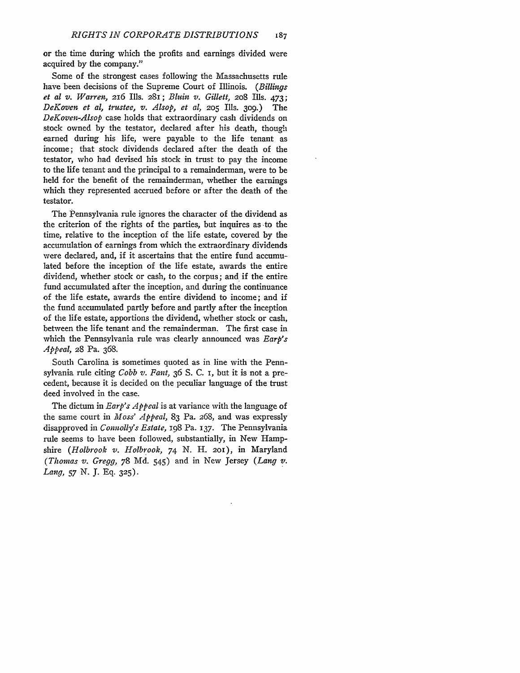or the time during which the profits and earnings divided were acquired by the company."

Some of the strongest cases following the Massachusetts rule have been decisions of the Supreme Court of Illinois. *(Billings et* al *v. Warren, 216* Ills. 281; *Bluin v. Gillett, 208* Ills. 473; *DeKoven et* al, *trustee, v. Alsop, et* al, **2o5** Ills. **309.)** The *DeKoven-Alsop* case holds that extraordinary cash dividends on stock owned by the testator, declared after his death, though earned during his life, were payable to the life tenant as income; that stock dividends declared after the death of the testator, who had devised his stock in trust to pay the income to the life tenant and the principal to a remainderman, were to be held for the benefit of the remainderman, whether the earnings which they represented accrued before or after the death of the testator.

The Pennsylvania rule ignores the character of the dividend as the criterion of the rights of the parties, but inquires as -to the time, relative to the inception of the life estate, covered by the accumulation of earnings from which the extraordinary dividends were declared, and, if it ascertains that the entire fund accumulated before the inception of the life estate, awards the entire dividend, whether stock or cash, to the corpus; and if the entire fund accumulated after the inception, and during the continuance of the life estate, awards the entire dividend to income; and if the fund accumulated partly before and partly after the inception of the life estate, apportions the dividend, whether stock or cash, between the life tenant and the remainderman. The first case in which the Pennsylvania rule was clearly announced was *Earp's Appeal,* 28 Pa. 368.

South Carolina is sometimes quoted as in line with the Pennsylvania rule citing *Cobb v. Fant,* 36 **S.** C. i, but it is not a precedent, because it is decided on the peculiar language of the trust deed involved in the case.

The dictum in *Earp's Appeal* is at variance with the language of the same court in *Moss' Appeal,* 83 Pa. 268, and was expressly disapproved in *Connolly's Estate,* 198 Pa. **137.** The Pennsylvania rule seems to have been followed, substantially, in New Hampshire *(Holbrook v. Holbrook, 74* N. H. **201),** in Maryland *(Thomas v. Gregg,* 78 Md. 545) and in New Jersey *(Lang v. Lang, 57* N. J. Eq. **325).**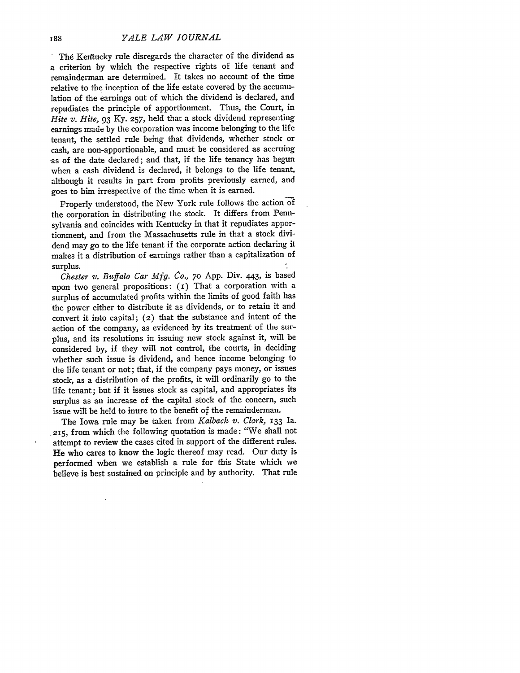The Kentucky rule disregards the character of the dividend as a criterion by which the respective rights of life tenant and remainderman are determined. It takes no account of the time relative to the inception of the life estate covered by the accumulation of the earnings out of which the dividend is declared, and repudiates the principle of apportionment. Thus, the Court, in *Hite v. Hite,* 93 Ky. **257,** held that a stock dividend representing earnings made by the corporation was income belonging to the life tenant, the settled rule being that dividends, whether stock or cash, are non-apportionable, and must be considered as accruing as of the date declared; and that, if the life tenancy has begun when a cash dividend is declared, it belongs to the life tenant, although it results in part from profits previously earned, and goes to him irrespective of the time when it is earned.

Properly understood, the New York rule follows the action of the corporation in distributing the stock. It differs from Pennsylvania and coincides with Kentucky in that it repudiates apportionment, and from the Massachusetts rule in that a stock dividend may go to the life tenant if the corporate action declaring it makes it a distribution of earnings rather than a capitalization of surplus.

Chester v. Buffalo Car Mfg. Co., 70 App. Div. 443, is based upon two general propositions: (i) That a corporation with a surplus of accumulated profits within the limits of good faith has the power either to distribute it as dividends, or to retain it and convert it into capital; (2) that the substance and intent of the action of the company, as evidenced by its treatment of the surplus, and its resolutions in issuing new stock against it, will be considered by, if they will not control, the courts, in deciding whether such issue is dividend, and hence income belonging to the life tenant or not; that, if the company pays money, or issues stock, as a distribution of the profits, it will ordinarily go to the life tenant; but if it issues stock as capital, and appropriates its surplus as an increase of the capital stock of the concern, such issue will be held to inure to the benefit of the remainderman.

The Iowa rule may be taken from *Kalbach v. Clark,* 133 Ia. .215, from which the following quotation is made: "We shall not attempt to review the cases cited in support of the different rules. He who cares to know the logic thereof may read. Our duty is performed when we establish a rule for this State which we believe is best sustained on principle and by authority. That rule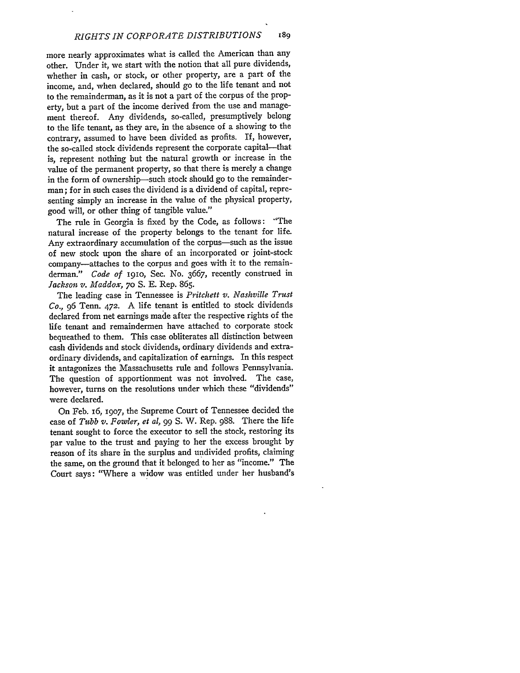more nearly approximates what is called the American than any other. Under it, we start with the notion that all pure dividends, whether in cash, or stock, or other property, are a part of the income, and, when declared, should go to the life tenant and not to the remainderman, as it is not a part of the corpus of the property, but a part of the income derived from the use and management thereof. Any dividends, so-called, presumptively belong to the life tenant, as they are, in the absence of a showing to the contrary, assumed to have been divided as profits. If, however, the so-called stock dividends represent the corporate capital-that is, represent nothing but the natural growth or increase in the value of the permanent property, so that there is merely a change in the form of ownership-such stock should go to the remainderman; for in such cases the dividend is a dividend of capital, representing simply an increase in the value of the physical property, good will, or other thing of tangible value."

The rule in Georgia is fixed **by** the Code, as follows: "The natural increase of the property belongs to the tenant for life. Any extraordinary accumulation of the corpus-such as the issue of new stock upon the share of an incorporated or joint-stock company-attaches to the corpus and goes with it to the remainderman." *Code of* I9io, Sec. No. 3667, recently construed in *Jackson v. Maddox,* **70 S. E.** Rep. **865.**

The leading case in Tennessee is *Pritchett v. Nashville Trust Co.,* 96 Tenn. 472. A life tenant is entitled to stock dividends declared from net earnings made after the respective rights of the life tenant and remaindermen have attached to corporate stock bequeathed to them. This case obliterates all distinction between cash dividends and stock dividends, ordinary dividends and extraordinary dividends, and capitalization of earnings. In this respect it antagonizes the Massachusetts rule and follows Pennsylvania. The question of apportionment was not involved. The case, however, turns on the resolutions under which these "dividends" were declared.

On Feb. 16, 1907, the Supreme Court of Tennessee decided the case of *Tubb v. Fowler, et* al, *99* **S.** W. Rep. 988. There the life tenant sought to force the executor to sell the stock, restoring its par value to the trust and paying to her the excess brought **by** reason of its share in the surplus and undivided profits, claiming the same, on the ground that it belonged to her as "income." The Court says: "Where a widow was entitled under her husband's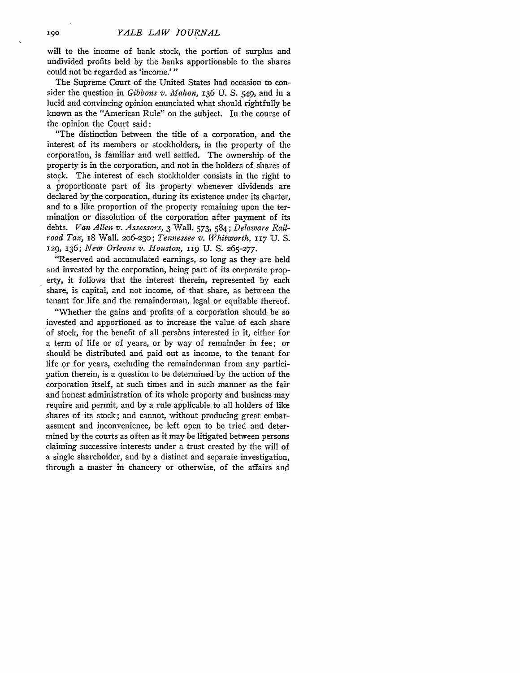will to the income of bank stock, the portion of surplus and undivided profits held by the banks apportionable to the shares could not be regarded as 'income.'"

The Supreme Court of the United States had occasion to consider the question in *Gibbons v. Mahon,* 136 U. **S.** 549, and in a lucid and convincing opinion enunciated what should rightfully be known as the "American Rule" on the subject. In the course of the opinion the Court said:

"The distinction between the title of a corporation, and the interest of its members or stockholders, in the property of the corporation, is familiar and well settled. The ownership of the property is in the corporation, and not in the holders of shares of stock. The interest of each stockholder consists in the right to a proportionate part of its property whenever dividends are declared by the corporation, during its existence under its charter, and to a like proportion of the property remaining upon the termination or dissolution of the corporation after payment of its debts. *Van Allen v. Assessors,* 3 Wall. 573, 584; *Delaware Railroad Tax,* 18 Wall. 206-230; *Tennessee v. Whitworth,* 117 **U.** S. 129, 136; *New Orleans v. Houston,* 119 U. **S. 265-277.**

"Reserved and accumulated earnings, so long as they are held and invested by the corporation, being part of its corporate property, it follows that the interest therein, represented by each share, is capital, and not income, of that share, as between the tenant for life and the remainderman, legal or equitable thereof.

"Whether the gains and profits of a corporation should be so invested and apportioned as to increase the value of each share of stock, for the benefit of all persbns interested in it, either for a term of life or of years, or by way of remainder in fee; or should be distributed and paid out as income, to the tenant for life or for years, excluding the remainderman from any participation therein, is a question to be determined by the action of the corporation itself, at such times and in such manner as the fair and honest administration of its whole property and business may require and permit, and by a rule applicable to all holders of like shares of its stock; and cannot, without producing great embarassment and inconvenience, be left open to be tried and determined by the courts as often as it may be litigated between persons claiming successive interests under a trust created by the will **of** a single shareholder, and by a distinct and separate investigation, through a master in chancery or otherwise, of the affairs and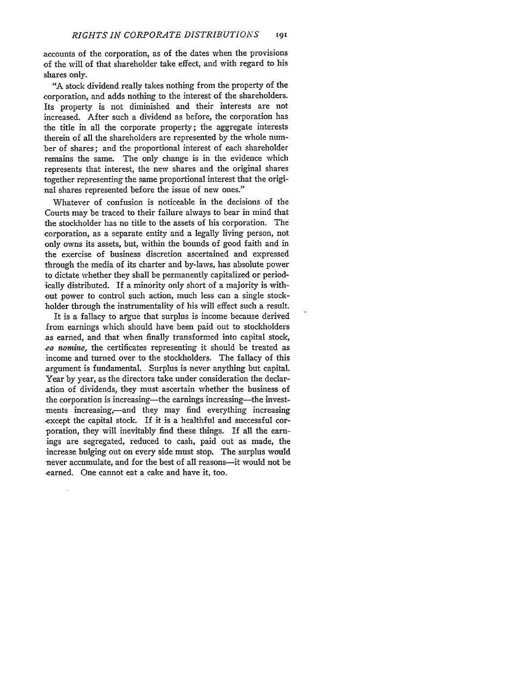accounts of the corporation, as of the dates when the provisions of the will of that shareholder take effect, and with regard to his shares only.

"A stock dividend really takes nothing from the property of the corporation, and adds nothing to the interest of the shareholders. Its property is not diminished and their interests are not increased. After such a dividend as before, the corporation has the title in all the corporate property; the aggregate interests therein of all the shareholders are represented by the whole number of shares; and the proportional interest of each shareholder remains the same. The only change is in the evidence which represents that interest, the new shares and the original shares together representing the same proportional interest that the original shares represented before the issue of new ones."

Whatever of confusion is noticeable in the decisions of the Courts may be traced to their failure always to bear in mind that the stockholder has no title to the assets of his corporation. The corporation, as a separate entity and a legally living person, not only owns its assets, but, within the bounds of good faith and in the exercise of business discretion ascertained and expressed through the media of its charter and by-laws, has absolute power to dictate whether they shall be permanently capitalized or periodically distributed. If a minority only short of a majority is without power to control such action, much less can a single stockholder through the instrumentality of his will effect such a result.

It is a fallacy to argue that surplus is income because derived from earnings which should have been paid out to stockholders as earned, and that when finally transformed into capital stock, *xeo nomine,* the certificates representing it should be treated as income and turned over to the stockholders. The fallacy of this argument is fundamental. Surplus is never anything but capital. Year by year, as the directors take under consideration the declaration of dividends, they must ascertain whether the business of the corporation is increasing-the earnings increasing-the investments increasing,-and they may find everything increasing except the capital stock. If it is a healthful and successful corporation, they will inevitably find these things. If all the earnings are segregated, reduced to cash, paid out as made, the increase bulging out on every side must stop. The surplus would never accumulate, and for the best of all reasons-it would not be ,earned. One cannot eat a cake and have it, too.